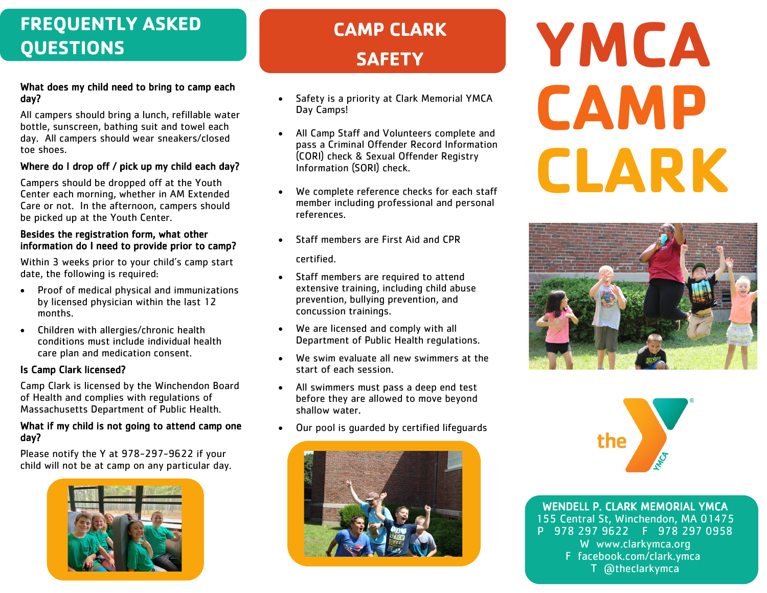# **FREQUENTLY ASKED QUESTIONS**

#### What does my child need to bring to camp each day?

All campers should bring a lunch, refillable water bottle, sunscreen, bathing suit and towel each day. All campers should wear sneakers/closed toe shoes.

### Where do I drop off / pick up my child each day?

Campers should be dropped off at the Youth Center each morning, whether in AM Extended Care or not. In the afternoon, campers should be picked up at the Youth Center.

#### Besides the registration form, what other information do I need to provide prior to camp?

Within 3 weeks prior to your child's camp start date, the following is required:

- Proof of medical physical and immunizations by licensed physician within the last 12 months.
- Children with allergies/chronic health conditions must include individual health care plan and medication consent.

## Is Camp Clark licensed?

Camp Clark is licensed by the Winchendon Board of Health and complies with regulations of Massachusetts Department of Public Health.

#### What if my child is not going to attend camp one day?

Please notify the Y at 978-297-9622 if your child will not be at camp on any particular day.



# **CAMP CLARK SAFETY**

- Safety is a priority at Clark Memorial YMCA Day Camps!
- All Camp Staff and Volunteers complete and pass a Criminal Offender Record Information (CORI) check & Sexual Offender Registry Information (SORI) check.
- We complete reference checks for each staff member including professional and personal references.
- Staff members are First Aid and CPR

certified.

- Staff members are required to attend extensive training, including child abuse prevention, bullying prevention, and concussion trainings.
- We are licensed and comply with all Department of Public Health regulations.
- We swim evaluate all new swimmers at the start of each session.
- All swimmers must pass a deep end test before they are allowed to move beyond shallow water.
- Our pool is guarded by certified lifeguards



# **YMCA CAMP CLARK**





WENDELL P. CLARK MEMORIAL YMCA 155 Central St, Winchendon, MA 01475 P 978 297 9622 F 978 297 0958 W www.clarkymca.org F facebook.com/clark.ymca T @theclarkymca